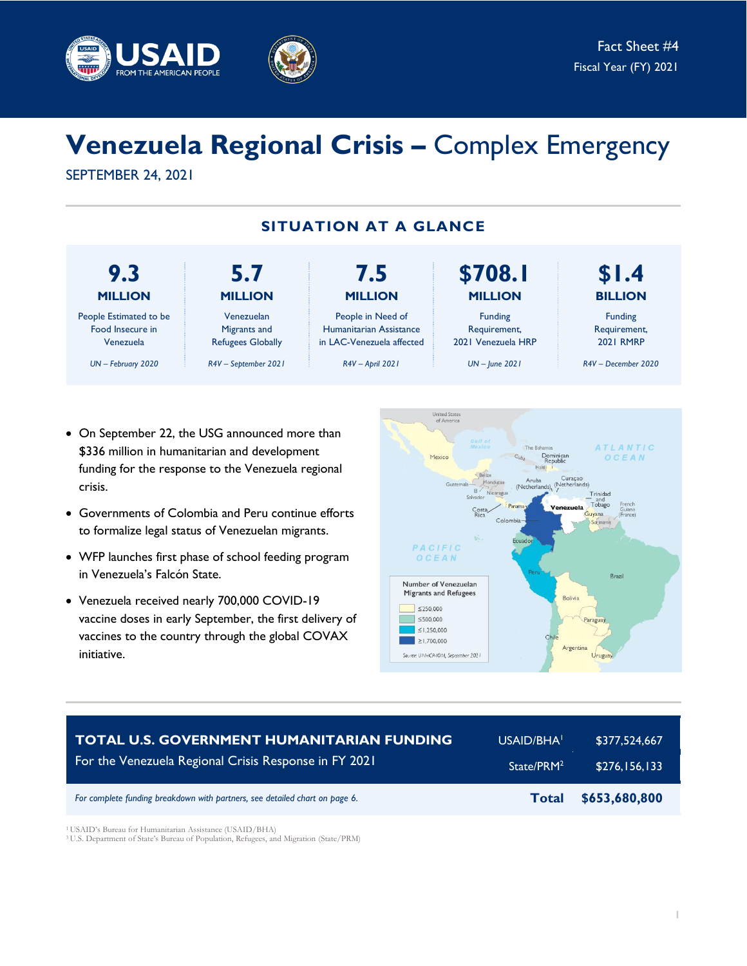



# **Venezuela Regional Crisis –** Complex Emergency

SEPTEMBER 24, 2021



- On September 22, the USG announced more than \$336 million in humanitarian and development funding for the response to the Venezuela regional crisis.
- Governments of Colombia and Peru continue efforts to formalize legal status of Venezuelan migrants.
- WFP launches first phase of school feeding program in Venezuela's Falcón State.
- Venezuela received nearly 700,000 COVID-19 vaccine doses in early September, the first delivery of vaccines to the country through the global COVAX initiative.



| <b>TOTAL U.S. GOVERNMENT HUMANITARIAN FUNDING</b>                           | USAID/BHA <sup>1</sup> | \$377,524,667 |
|-----------------------------------------------------------------------------|------------------------|---------------|
| For the Venezuela Regional Crisis Response in FY 2021                       | State/PRM <sup>2</sup> | \$276.156.133 |
| For complete funding breakdown with partners, see detailed chart on page 6. | <b>Total</b>           | \$653,680,800 |

<sup>1</sup> USAID's Bureau for Humanitarian Assistance (USAID/BHA)

<sup>3</sup>U.S. Department of State's Bureau of Population, Refugees, and Migration (State/PRM)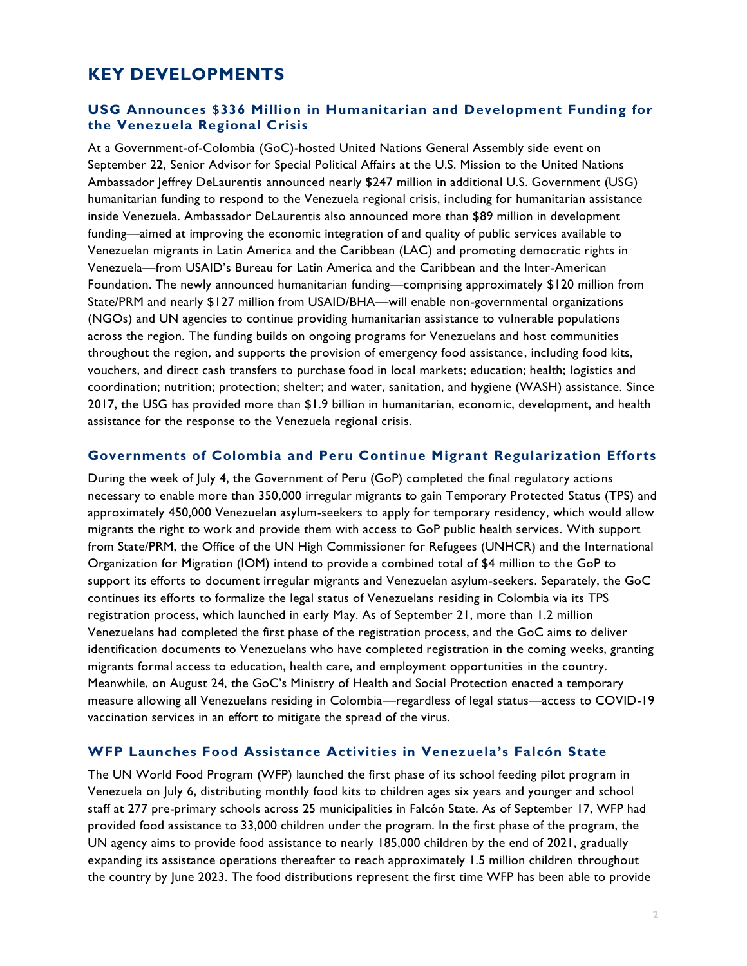# **KEY DEVELOPMENTS**

#### **USG Announces \$336 Million in Humanitarian and Development Funding for the Venezuela Regional Crisis**

At a Government-of-Colombia (GoC)-hosted United Nations General Assembly side event on September 22, Senior Advisor for Special Political Affairs at the U.S. Mission to the United Nations Ambassador Jeffrey DeLaurentis announced nearly \$247 million in additional U.S. Government (USG) humanitarian funding to respond to the Venezuela regional crisis, including for humanitarian assistance inside Venezuela. Ambassador DeLaurentis also announced more than \$89 million in development funding—aimed at improving the economic integration of and quality of public services available to Venezuelan migrants in Latin America and the Caribbean (LAC) and promoting democratic rights in Venezuela—from USAID's Bureau for Latin America and the Caribbean and the Inter-American Foundation. The newly announced humanitarian funding—comprising approximately \$120 million from State/PRM and nearly \$127 million from USAID/BHA—will enable non-governmental organizations (NGOs) and UN agencies to continue providing humanitarian assistance to vulnerable populations across the region. The funding builds on ongoing programs for Venezuelans and host communities throughout the region, and supports the provision of emergency food assistance, including food kits, vouchers, and direct cash transfers to purchase food in local markets; education; health; logistics and coordination; nutrition; protection; shelter; and water, sanitation, and hygiene (WASH) assistance. Since 2017, the USG has provided more than \$1.9 billion in humanitarian, economic, development, and health assistance for the response to the Venezuela regional crisis.

#### **Governments of Colombia and Peru Continue Migrant Regularization Efforts**

During the week of July 4, the Government of Peru (GoP) completed the final regulatory actions necessary to enable more than 350,000 irregular migrants to gain Temporary Protected Status (TPS) and approximately 450,000 Venezuelan asylum-seekers to apply for temporary residency, which would allow migrants the right to work and provide them with access to GoP public health services. With support from State/PRM, the Office of the UN High Commissioner for Refugees (UNHCR) and the International Organization for Migration (IOM) intend to provide a combined total of \$4 million to the GoP to support its efforts to document irregular migrants and Venezuelan asylum-seekers. Separately, the GoC continues its efforts to formalize the legal status of Venezuelans residing in Colombia via its TPS registration process, which launched in early May. As of September 21, more than 1.2 million Venezuelans had completed the first phase of the registration process, and the GoC aims to deliver identification documents to Venezuelans who have completed registration in the coming weeks, granting migrants formal access to education, health care, and employment opportunities in the country. Meanwhile, on August 24, the GoC's Ministry of Health and Social Protection enacted a temporary measure allowing all Venezuelans residing in Colombia—regardless of legal status—access to COVID-19 vaccination services in an effort to mitigate the spread of the virus.

## **WFP Launches Food Assistance Activities in Venezuela's Falcón State**

The UN World Food Program (WFP) launched the first phase of its school feeding pilot program in Venezuela on July 6, distributing monthly food kits to children ages six years and younger and school staff at 277 pre-primary schools across 25 municipalities in Falcón State. As of September 17, WFP had provided food assistance to 33,000 children under the program. In the first phase of the program, the UN agency aims to provide food assistance to nearly 185,000 children by the end of 2021, gradually expanding its assistance operations thereafter to reach approximately 1.5 million children throughout the country by June 2023. The food distributions represent the first time WFP has been able to provide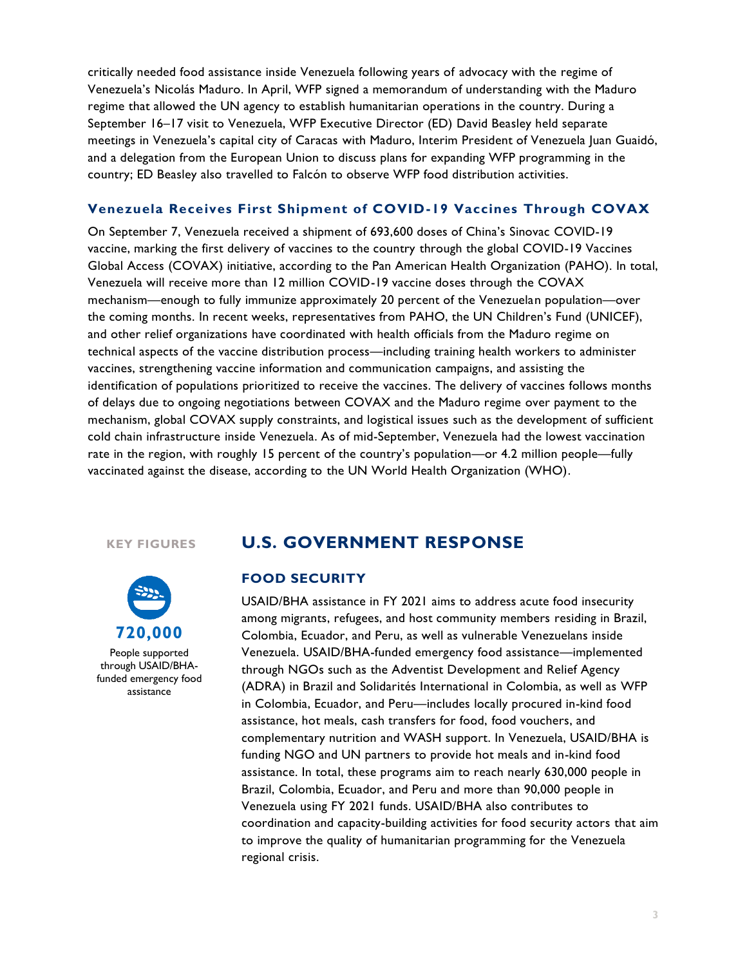critically needed food assistance inside Venezuela following years of advocacy with the regime of Venezuela's Nicolás Maduro. In April, WFP signed a memorandum of understanding with the Maduro regime that allowed the UN agency to establish humanitarian operations in the country. During a September 16–17 visit to Venezuela, WFP Executive Director (ED) David Beasley held separate meetings in Venezuela's capital city of Caracas with Maduro, Interim President of Venezuela Juan Guaidó, and a delegation from the European Union to discuss plans for expanding WFP programming in the country; ED Beasley also travelled to Falcón to observe WFP food distribution activities.

#### **Venezuela Receives First Shipment of COVID-19 Vaccines Through COVAX**

On September 7, Venezuela received a shipment of 693,600 doses of China's Sinovac COVID-19 vaccine, marking the first delivery of vaccines to the country through the global COVID-19 Vaccines Global Access (COVAX) initiative, according to the Pan American Health Organization (PAHO). In total, Venezuela will receive more than 12 million COVID-19 vaccine doses through the COVAX mechanism—enough to fully immunize approximately 20 percent of the Venezuelan population—over the coming months. In recent weeks, representatives from PAHO, the UN Children's Fund (UNICEF), and other relief organizations have coordinated with health officials from the Maduro regime on technical aspects of the vaccine distribution process—including training health workers to administer vaccines, strengthening vaccine information and communication campaigns, and assisting the identification of populations prioritized to receive the vaccines. The delivery of vaccines follows months of delays due to ongoing negotiations between COVAX and the Maduro regime over payment to the mechanism, global COVAX supply constraints, and logistical issues such as the development of sufficient cold chain infrastructure inside Venezuela. As of mid-September, Venezuela had the lowest vaccination rate in the region, with roughly 15 percent of the country's population—or 4.2 million people—fully vaccinated against the disease, according to the UN World Health Organization (WHO).

#### **KEY FIGURES**



People supported through USAID/BHAfunded emergency food assistance

# **U.S. GOVERNMENT RESPONSE**

#### **FOOD SECURITY**

USAID/BHA assistance in FY 2021 aims to address acute food insecurity among migrants, refugees, and host community members residing in Brazil, Colombia, Ecuador, and Peru, as well as vulnerable Venezuelans inside Venezuela. USAID/BHA-funded emergency food assistance—implemented through NGOs such as the Adventist Development and Relief Agency (ADRA) in Brazil and Solidarités International in Colombia, as well as WFP in Colombia, Ecuador, and Peru—includes locally procured in-kind food assistance, hot meals, cash transfers for food, food vouchers, and complementary nutrition and WASH support. In Venezuela, USAID/BHA is funding NGO and UN partners to provide hot meals and in-kind food assistance. In total, these programs aim to reach nearly 630,000 people in Brazil, Colombia, Ecuador, and Peru and more than 90,000 people in Venezuela using FY 2021 funds. USAID/BHA also contributes to coordination and capacity-building activities for food security actors that aim to improve the quality of humanitarian programming for the Venezuela regional crisis.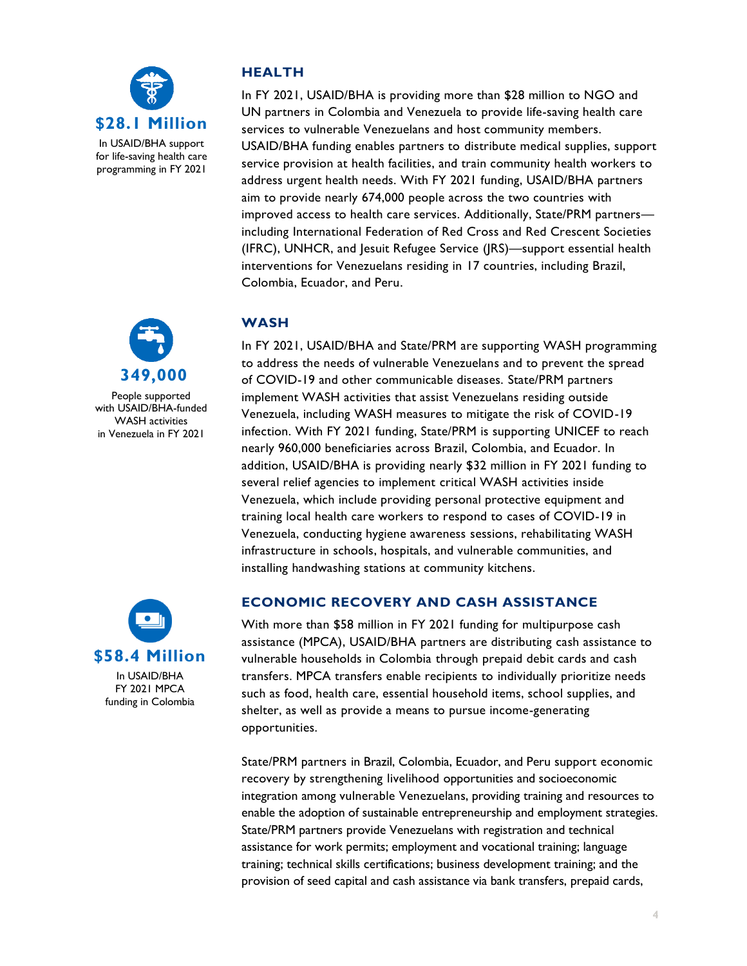



People supported with USAID/BHA-funded WASH activities in Venezuela in FY 2021



In USAID/BHA FY 2021 MPCA funding in Colombia

### **HEALTH**

In FY 2021, USAID/BHA is providing more than \$28 million to NGO and UN partners in Colombia and Venezuela to provide life-saving health care services to vulnerable Venezuelans and host community members. USAID/BHA funding enables partners to distribute medical supplies, support service provision at health facilities, and train community health workers to address urgent health needs. With FY 2021 funding, USAID/BHA partners aim to provide nearly 674,000 people across the two countries with improved access to health care services. Additionally, State/PRM partners including International Federation of Red Cross and Red Crescent Societies (IFRC), UNHCR, and Jesuit Refugee Service (JRS)—support essential health interventions for Venezuelans residing in 17 countries, including Brazil, Colombia, Ecuador, and Peru.

## **WASH**

In FY 2021, USAID/BHA and State/PRM are supporting WASH programming to address the needs of vulnerable Venezuelans and to prevent the spread of COVID-19 and other communicable diseases. State/PRM partners implement WASH activities that assist Venezuelans residing outside Venezuela, including WASH measures to mitigate the risk of COVID-19 infection. With FY 2021 funding, State/PRM is supporting UNICEF to reach nearly 960,000 beneficiaries across Brazil, Colombia, and Ecuador. In addition, USAID/BHA is providing nearly \$32 million in FY 2021 funding to several relief agencies to implement critical WASH activities inside Venezuela, which include providing personal protective equipment and training local health care workers to respond to cases of COVID-19 in Venezuela, conducting hygiene awareness sessions, rehabilitating WASH infrastructure in schools, hospitals, and vulnerable communities, and installing handwashing stations at community kitchens.

## **ECONOMIC RECOVERY AND CASH ASSISTANCE**

With more than \$58 million in FY 2021 funding for multipurpose cash assistance (MPCA), USAID/BHA partners are distributing cash assistance to vulnerable households in Colombia through prepaid debit cards and cash transfers. MPCA transfers enable recipients to individually prioritize needs such as food, health care, essential household items, school supplies, and shelter, as well as provide a means to pursue income-generating opportunities.

State/PRM partners in Brazil, Colombia, Ecuador, and Peru support economic recovery by strengthening livelihood opportunities and socioeconomic integration among vulnerable Venezuelans, providing training and resources to enable the adoption of sustainable entrepreneurship and employment strategies. State/PRM partners provide Venezuelans with registration and technical assistance for work permits; employment and vocational training; language training; technical skills certifications; business development training; and the provision of seed capital and cash assistance via bank transfers, prepaid cards,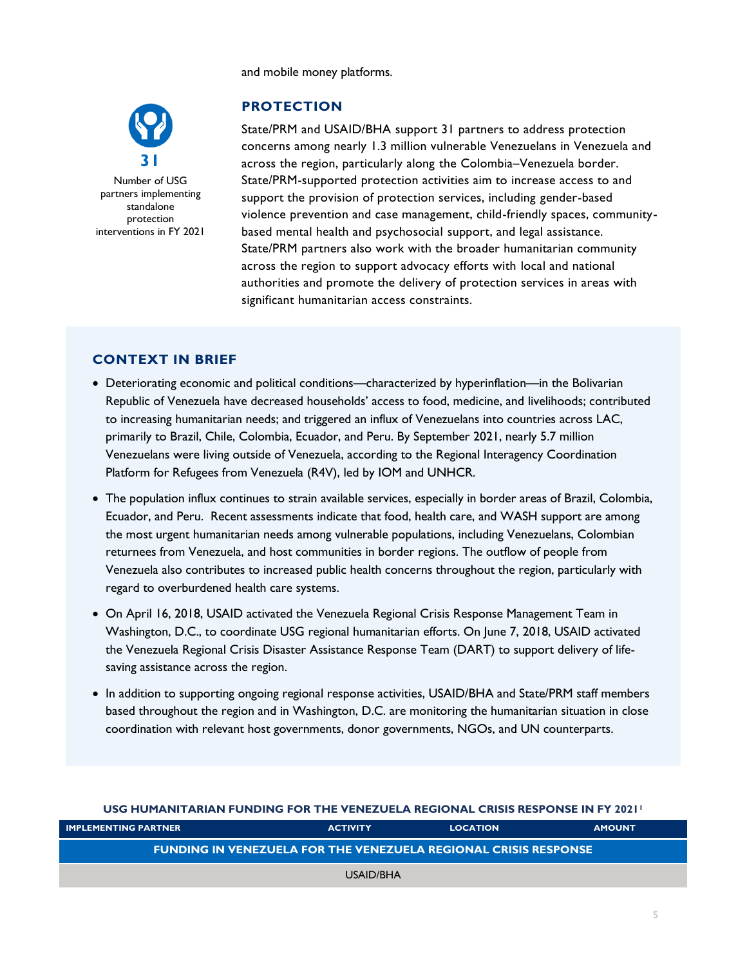and mobile money platforms.



Number of USG partners implementing standalone protection interventions in FY 2021

# **PROTECTION**

State/PRM and USAID/BHA support 31 partners to address protection concerns among nearly 1.3 million vulnerable Venezuelans in Venezuela and across the region, particularly along the Colombia–Venezuela border. State/PRM-supported protection activities aim to increase access to and support the provision of protection services, including gender-based violence prevention and case management, child-friendly spaces, communitybased mental health and psychosocial support, and legal assistance. State/PRM partners also work with the broader humanitarian community across the region to support advocacy efforts with local and national authorities and promote the delivery of protection services in areas with significant humanitarian access constraints.

# **CONTEXT IN BRIEF**

- Deteriorating economic and political conditions—characterized by hyperinflation—in the Bolivarian Republic of Venezuela have decreased households' access to food, medicine, and livelihoods; contributed to increasing humanitarian needs; and triggered an influx of Venezuelans into countries across LAC, primarily to Brazil, Chile, Colombia, Ecuador, and Peru. By September 2021, nearly 5.7 million Venezuelans were living outside of Venezuela, according to the Regional Interagency Coordination Platform for Refugees from Venezuela (R4V), led by IOM and UNHCR.
- The population influx continues to strain available services, especially in border areas of Brazil, Colombia, Ecuador, and Peru. Recent assessments indicate that food, health care, and WASH support are among the most urgent humanitarian needs among vulnerable populations, including Venezuelans, Colombian returnees from Venezuela, and host communities in border regions. The outflow of people from Venezuela also contributes to increased public health concerns throughout the region, particularly with regard to overburdened health care systems.
- On April 16, 2018, USAID activated the Venezuela Regional Crisis Response Management Team in Washington, D.C., to coordinate USG regional humanitarian efforts. On June 7, 2018, USAID activated the Venezuela Regional Crisis Disaster Assistance Response Team (DART) to support delivery of lifesaving assistance across the region.
- In addition to supporting ongoing regional response activities, USAID/BHA and State/PRM staff members based throughout the region and in Washington, D.C. are monitoring the humanitarian situation in close coordination with relevant host governments, donor governments, NGOs, and UN counterparts.

| <u>USG HUMANI LANAN FUNDING FOR THE VENEZUELA REGIONAL CRISIS RESPONSE IN FT 2021.</u> |                 |                 |               |  |
|----------------------------------------------------------------------------------------|-----------------|-----------------|---------------|--|
| <b>IMPLEMENTING PARTNER</b>                                                            | <b>ACTIVITY</b> | <b>LOCATION</b> | <b>AMOUNT</b> |  |
| <b>FUNDING IN VENEZUELA FOR THE VENEZUELA REGIONAL CRISIS RESPONSE</b>                 |                 |                 |               |  |
|                                                                                        | USAID/BHA       |                 |               |  |

**USG HUMANITARIAN FUNDING FOR THE VENEZUELA REGIONAL CRISIS RESPONSE IN FY 2021<sup>1</sup>**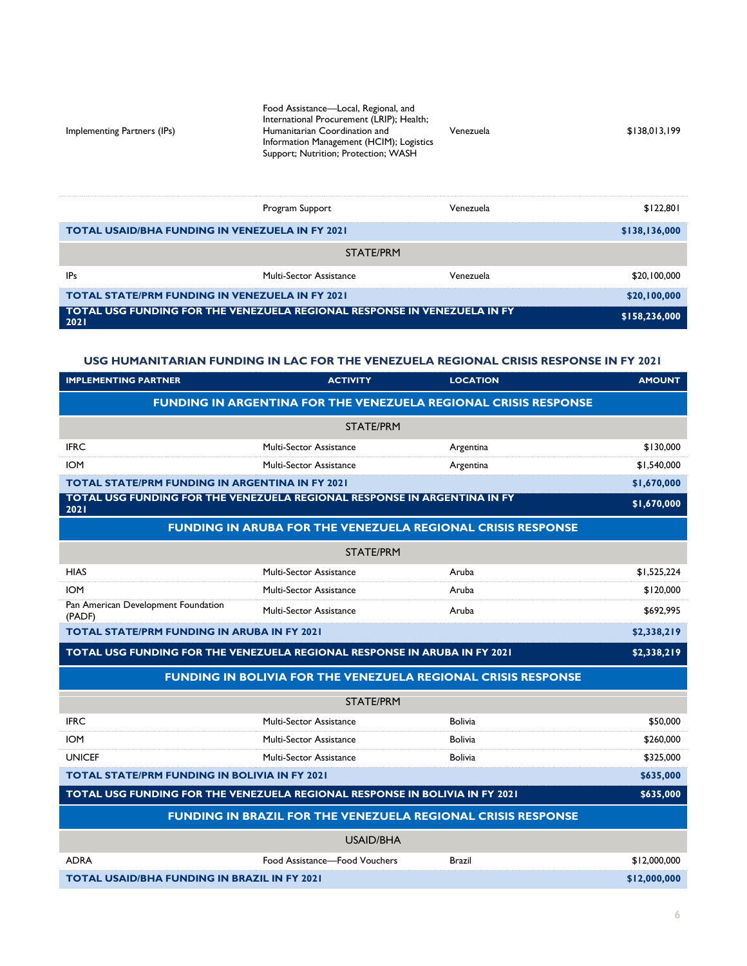| Implementing Partners (IPs)                            | Food Assistance-Local, Regional, and<br>International Procurement (LRIP); Health;<br>Humanitarian Coordination and<br>Information Management (HCIM); Logistics<br>Support; Nutrition; Protection; WASH | Venezuela | \$138,013,199 |
|--------------------------------------------------------|--------------------------------------------------------------------------------------------------------------------------------------------------------------------------------------------------------|-----------|---------------|
|                                                        | Program Support                                                                                                                                                                                        | Venezuela | \$122,801     |
| <b>TOTAL USAID/BHA FUNDING IN VENEZUELA IN FY 2021</b> |                                                                                                                                                                                                        |           | \$138.136.000 |

| TO TAL OSAIDIDITA FONDING IN VENEZULLA IN FILZVZI      |                                                                          |           | 9130,130,000  |
|--------------------------------------------------------|--------------------------------------------------------------------------|-----------|---------------|
|                                                        | STATE/PRM                                                                |           |               |
| <b>IPs</b>                                             | Multi-Sector Assistance                                                  | Venezuela | \$20,100,000  |
| <b>TOTAL STATE/PRM FUNDING IN VENEZUELA IN FY 2021</b> |                                                                          |           | \$20,100,000  |
| 2021                                                   | TOTAL USG FUNDING FOR THE VENEZUELA REGIONAL RESPONSE IN VENEZUELA IN FY |           | \$158,236,000 |

#### **USG HUMANITARIAN FUNDING IN LAC FOR THE VENEZUELA REGIONAL CRISIS RESPONSE IN FY 2021**

| <b>IMPLEMENTING PARTNER</b>                                                              | <b>ACTIVITY</b>                | <b>LOCATION</b>                                                        | <b>AMOUNT</b> |
|------------------------------------------------------------------------------------------|--------------------------------|------------------------------------------------------------------------|---------------|
|                                                                                          |                                | <b>FUNDING IN ARGENTINA FOR THE VENEZUELA REGIONAL CRISIS RESPONSE</b> |               |
|                                                                                          | <b>STATE/PRM</b>               |                                                                        |               |
| <b>IFRC</b>                                                                              | Multi-Sector Assistance        | Argentina                                                              | \$130,000     |
| <b>IOM</b>                                                                               | Multi-Sector Assistance        | Argentina                                                              | \$1,540,000   |
| <b>TOTAL STATE/PRM FUNDING IN ARGENTINA IN FY 2021</b>                                   |                                |                                                                        | \$1,670,000   |
| TOTAL USG FUNDING FOR THE VENEZUELA REGIONAL RESPONSE IN ARGENTINA IN FY<br>2021         |                                |                                                                        | \$1,670,000   |
|                                                                                          |                                | <b>FUNDING IN ARUBA FOR THE VENEZUELA REGIONAL CRISIS RESPONSE</b>     |               |
|                                                                                          | <b>STATE/PRM</b>               |                                                                        |               |
| <b>HIAS</b>                                                                              | <b>Multi-Sector Assistance</b> | Aruba                                                                  | \$1,525,224   |
| <b>IOM</b>                                                                               | Multi-Sector Assistance        | Aruba                                                                  | \$120,000     |
| Pan American Development Foundation<br>(PADF)                                            | Multi-Sector Assistance        | Aruba                                                                  | \$692,995     |
| <b>TOTAL STATE/PRM FUNDING IN ARUBA IN FY 2021</b>                                       |                                |                                                                        | \$2,338,219   |
| \$2,338,219<br>TOTAL USG FUNDING FOR THE VENEZUELA REGIONAL RESPONSE IN ARUBA IN FY 2021 |                                |                                                                        |               |
|                                                                                          |                                | <b>FUNDING IN BOLIVIA FOR THE VENEZUELA REGIONAL CRISIS RESPONSE</b>   |               |
|                                                                                          | <b>STATE/PRM</b>               |                                                                        |               |
| <b>IFRC</b>                                                                              | <b>Multi-Sector Assistance</b> | <b>Bolivia</b>                                                         | \$50,000      |
| <b>IOM</b>                                                                               | Multi-Sector Assistance        | <b>Bolivia</b>                                                         | \$260,000     |
| <b>UNICEF</b>                                                                            | Multi-Sector Assistance        | <b>Bolivia</b>                                                         | \$325,000     |
| <b>TOTAL STATE/PRM FUNDING IN BOLIVIA IN FY 2021</b>                                     |                                |                                                                        | \$635,000     |
| TOTAL USG FUNDING FOR THE VENEZUELA REGIONAL RESPONSE IN BOLIVIA IN FY 2021              |                                |                                                                        | \$635,000     |
|                                                                                          |                                | <b>FUNDING IN BRAZIL FOR THE VENEZUELA REGIONAL CRISIS RESPONSE</b>    |               |
|                                                                                          | <b>USAID/BHA</b>               |                                                                        |               |
| <b>ADRA</b>                                                                              | Food Assistance-Food Vouchers  | <b>Brazil</b>                                                          | \$12,000,000  |
| <b>TOTAL USAID/BHA FUNDING IN BRAZIL IN FY 2021</b>                                      |                                |                                                                        | \$12,000,000  |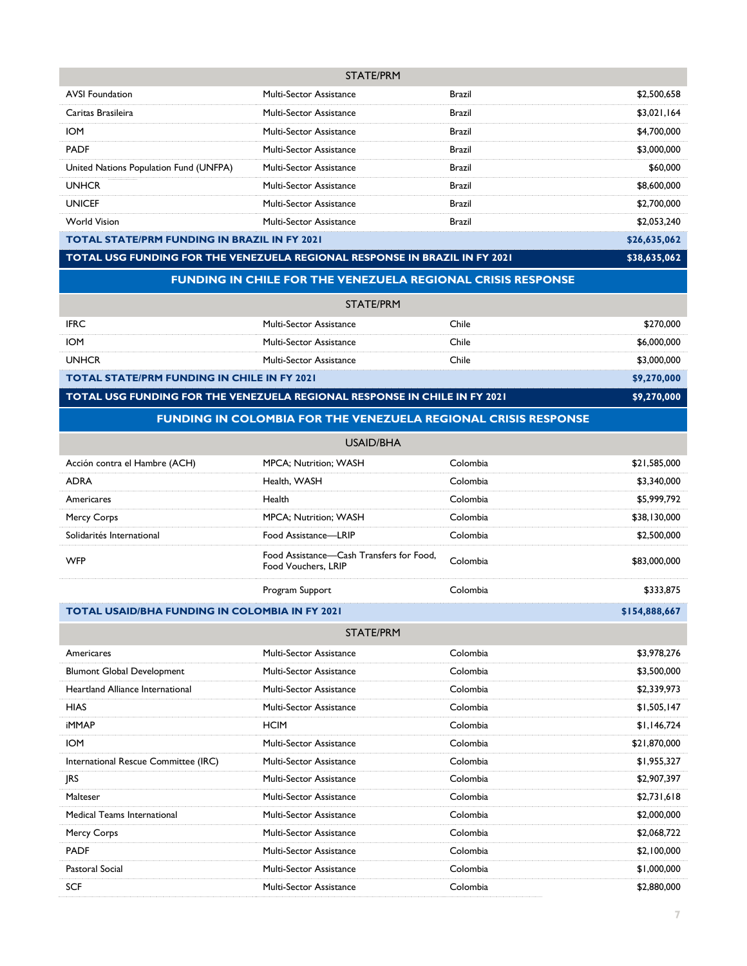| STATE/PRM                                           |                                |               |              |
|-----------------------------------------------------|--------------------------------|---------------|--------------|
| <b>AVSI Foundation</b>                              | <b>Multi-Sector Assistance</b> | Brazil        | \$2,500,658  |
| Caritas Brasileira                                  | Multi-Sector Assistance        | Brazil        | \$3,021,164  |
| <b>IOM</b>                                          | <b>Multi-Sector Assistance</b> | <b>Brazil</b> | \$4,700,000  |
| <b>PADF</b>                                         | <b>Multi-Sector Assistance</b> | <b>Brazil</b> | \$3,000,000  |
| United Nations Population Fund (UNFPA)              | <b>Multi-Sector Assistance</b> | <b>Brazil</b> | \$60,000     |
| <b>UNHCR</b>                                        | Multi-Sector Assistance        | <b>Brazil</b> | \$8,600,000  |
| <b>UNICEF</b>                                       | Multi-Sector Assistance        | <b>Brazil</b> | \$2,700,000  |
| <b>World Vision</b>                                 | <b>Multi-Sector Assistance</b> | <b>Brazil</b> | \$2,053,240  |
| <b>TOTAL STATE/PRM FUNDING IN BRAZIL IN FY 2021</b> |                                |               | \$26,635,062 |

# **TOTAL USG FUNDING FOR THE VENEZUELA REGIONAL RESPONSE IN BRAZIL IN FY 2021 \$38,635,062**

#### **FUNDING IN CHILE FOR THE VENEZUELA REGIONAL CRISIS RESPONSE**

| STATE/PRM                                          |                                |       |             |
|----------------------------------------------------|--------------------------------|-------|-------------|
| <b>IFRC</b>                                        | <b>Multi-Sector Assistance</b> | Chile | \$270,000   |
| <b>IOM</b>                                         | Multi-Sector Assistance        | Chile | \$6,000,000 |
| <b>UNHCR</b>                                       | <b>Multi-Sector Assistance</b> | Chile | \$3,000,000 |
| <b>TOTAL STATE/PRM FUNDING IN CHILE IN FY 2021</b> |                                |       | \$9,270,000 |

**TOTAL USG FUNDING FOR THE VENEZUELA REGIONAL RESPONSE IN CHILE IN FY 2021 \$9,270,000** 

#### **FUNDING IN COLOMBIA FOR THE VENEZUELA REGIONAL CRISIS RESPONSE**

|                               | USAID/BHA                                                       |          |              |
|-------------------------------|-----------------------------------------------------------------|----------|--------------|
| Acción contra el Hambre (ACH) | <b>MPCA</b> ; Nutrition; WASH                                   | Colombia | \$21,585,000 |
| <b>ADRA</b>                   | Health, WASH                                                    | Colombia | \$3,340,000  |
| Americares                    | Health                                                          | Colombia | \$5,999,792  |
| Mercy Corps                   | <b>MPCA</b> ; Nutrition; WASH                                   | Colombia | \$38,130,000 |
| Solidarités International     | Food Assistance-LRIP                                            | Colombia | \$2,500,000  |
| <b>WFP</b>                    | Food Assistance—Cash Transfers for Food,<br>Food Vouchers, LRIP | Colombia | \$83,000,000 |
|                               | Program Support                                                 | Colombia | \$333,875    |

#### **TOTAL USAID/BHA FUNDING IN COLOMBIA IN FY 2021 \$154,888,667**

|                                      | STATE/PRM                      |          |              |
|--------------------------------------|--------------------------------|----------|--------------|
| Americares                           | <b>Multi-Sector Assistance</b> | Colombia | \$3,978,276  |
| <b>Blumont Global Development</b>    | <b>Multi-Sector Assistance</b> | Colombia | \$3,500,000  |
| Heartland Alliance International     | Multi-Sector Assistance        | Colombia | \$2,339,973  |
| <b>HIAS</b>                          | <b>Multi-Sector Assistance</b> | Colombia | \$1,505,147  |
| <b>iMMAP</b>                         | <b>HCIM</b>                    | Colombia | \$1,146,724  |
| <b>IOM</b>                           | <b>Multi-Sector Assistance</b> | Colombia | \$21,870,000 |
| International Rescue Committee (IRC) | Multi-Sector Assistance        | Colombia | \$1,955,327  |
| RS                                   | <b>Multi-Sector Assistance</b> | Colombia | \$2,907,397  |
| Malteser                             | <b>Multi-Sector Assistance</b> | Colombia | \$2,731,618  |
| Medical Teams International          | <b>Multi-Sector Assistance</b> | Colombia | \$2,000,000  |
| Mercy Corps                          | Multi-Sector Assistance        | Colombia | \$2,068,722  |
| <b>PADF</b>                          | <b>Multi-Sector Assistance</b> | Colombia | \$2,100,000  |
| Pastoral Social                      | <b>Multi-Sector Assistance</b> | Colombia | \$1,000,000  |
| <b>SCF</b>                           | <b>Multi-Sector Assistance</b> | Colombia | \$2,880,000  |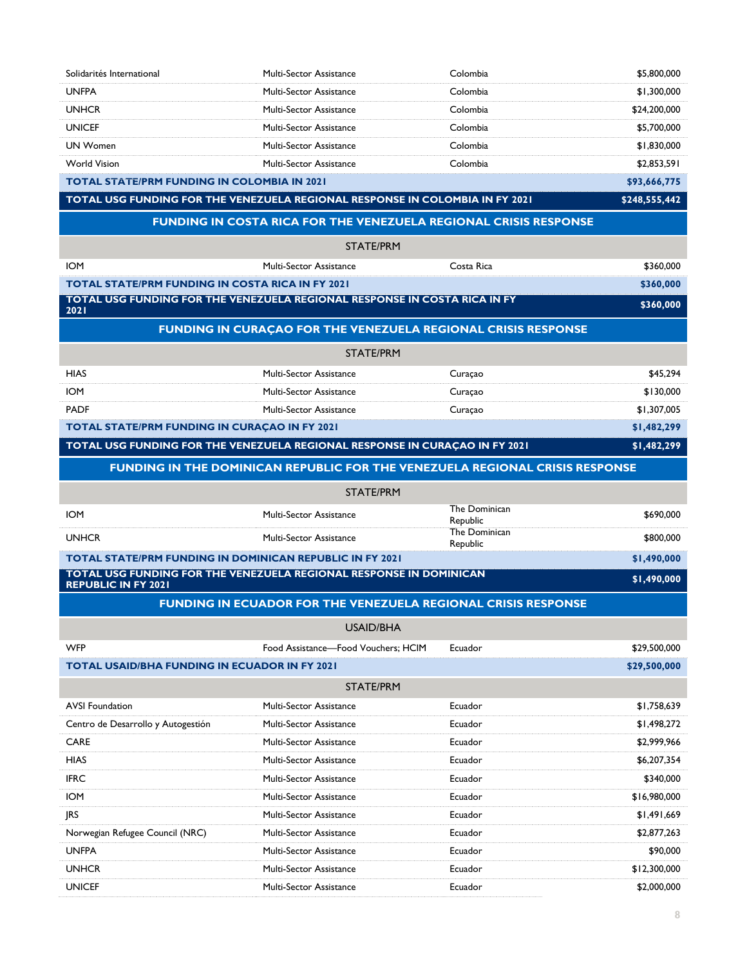| Solidarités International                                       | Multi-Sector Assistance                                                      | Colombia                  | \$5,800,000   |
|-----------------------------------------------------------------|------------------------------------------------------------------------------|---------------------------|---------------|
| <b>UNFPA</b>                                                    | <b>Multi-Sector Assistance</b>                                               | Colombia                  | \$1,300,000   |
| <b>UNHCR</b>                                                    | <b>Multi-Sector Assistance</b>                                               | Colombia                  | \$24,200,000  |
| <b>UNICEF</b>                                                   | Multi-Sector Assistance                                                      | Colombia                  | \$5,700,000   |
| <b>UN Women</b>                                                 | Multi-Sector Assistance                                                      | Colombia                  | \$1,830,000   |
| <b>World Vision</b>                                             | Multi-Sector Assistance                                                      | Colombia                  | \$2,853,591   |
| <b>TOTAL STATE/PRM FUNDING IN COLOMBIA IN 2021</b>              |                                                                              |                           | \$93,666,775  |
|                                                                 | TOTAL USG FUNDING FOR THE VENEZUELA REGIONAL RESPONSE IN COLOMBIA IN FY 2021 |                           | \$248,555,442 |
|                                                                 | <b>FUNDING IN COSTA RICA FOR THE VENEZUELA REGIONAL CRISIS RESPONSE</b>      |                           |               |
|                                                                 | <b>STATE/PRM</b>                                                             |                           |               |
| <b>IOM</b>                                                      | <b>Multi-Sector Assistance</b>                                               | Costa Rica                | \$360,000     |
| <b>TOTAL STATE/PRM FUNDING IN COSTA RICA IN FY 2021</b>         |                                                                              |                           | \$360,000     |
| 2021                                                            | TOTAL USG FUNDING FOR THE VENEZUELA REGIONAL RESPONSE IN COSTA RICA IN FY    |                           | \$360,000     |
|                                                                 | FUNDING IN CURAÇÃO FOR THE VENEZUELA REGIONAL CRISIS RESPONSE                |                           |               |
|                                                                 | <b>STATE/PRM</b>                                                             |                           |               |
| <b>HIAS</b>                                                     | Multi-Sector Assistance                                                      | Curaçao                   | \$45,294      |
| <b>IOM</b>                                                      | Multi-Sector Assistance                                                      | Curaçao                   | \$130,000     |
| <b>PADF</b>                                                     | <b>Multi-Sector Assistance</b>                                               | Curaçao                   | \$1,307,005   |
| <b>TOTAL STATE/PRM FUNDING IN CURAÇAO IN FY 2021</b>            |                                                                              |                           | \$1,482,299   |
|                                                                 | TOTAL USG FUNDING FOR THE VENEZUELA REGIONAL RESPONSE IN CURAÇAO IN FY 2021  |                           | \$1,482,299   |
|                                                                 | FUNDING IN THE DOMINICAN REPUBLIC FOR THE VENEZUELA REGIONAL CRISIS RESPONSE |                           |               |
|                                                                 |                                                                              |                           |               |
|                                                                 | <b>STATE/PRM</b>                                                             |                           |               |
| <b>IOM</b>                                                      | <b>Multi-Sector Assistance</b>                                               | The Dominican             |               |
|                                                                 |                                                                              | Republic<br>The Dominican | \$690,000     |
| <b>UNHCR</b>                                                    | Multi-Sector Assistance                                                      | Republic                  | \$800,000     |
| <b>TOTAL STATE/PRM FUNDING IN DOMINICAN REPUBLIC IN FY 2021</b> |                                                                              |                           | \$1,490,000   |
| <b>REPUBLIC IN FY 2021</b>                                      | TOTAL USG FUNDING FOR THE VENEZUELA REGIONAL RESPONSE IN DOMINICAN           |                           | \$1,490,000   |
|                                                                 | <b>FUNDING IN ECUADOR FOR THE VENEZUELA REGIONAL CRISIS RESPONSE</b>         |                           |               |
|                                                                 | <b>USAID/BHA</b>                                                             |                           |               |
| <b>WFP</b>                                                      | Food Assistance-Food Vouchers: HCIM                                          | Ecuador                   | \$29,500,000  |
| <b>TOTAL USAID/BHA FUNDING IN ECUADOR IN FY 2021</b>            |                                                                              |                           | \$29,500,000  |
|                                                                 | STATE/PRM                                                                    |                           |               |
| <b>AVSI Foundation</b>                                          | <b>Multi-Sector Assistance</b>                                               | Ecuador                   | \$1,758,639   |
| Centro de Desarrollo y Autogestión                              | <b>Multi-Sector Assistance</b>                                               | Ecuador                   | \$1,498,272   |
| <b>CARE</b>                                                     | Multi-Sector Assistance                                                      | Ecuador                   | \$2,999,966   |
| <b>HIAS</b>                                                     | <b>Multi-Sector Assistance</b>                                               | Ecuador                   | \$6,207,354   |
| <b>IFRC</b>                                                     | Multi-Sector Assistance                                                      | Ecuador                   | \$340,000     |
| <b>IOM</b>                                                      | Multi-Sector Assistance                                                      | Ecuador                   | \$16,980,000  |
| <b>JRS</b>                                                      | Multi-Sector Assistance                                                      | Ecuador                   | \$1,491,669   |
| Norwegian Refugee Council (NRC)                                 | Multi-Sector Assistance                                                      | Ecuador                   | \$2,877,263   |
| <b>UNFPA</b>                                                    | Multi-Sector Assistance                                                      | Ecuador                   | \$90,000      |
| <b>UNHCR</b>                                                    | Multi-Sector Assistance                                                      | Ecuador                   | \$12,300,000  |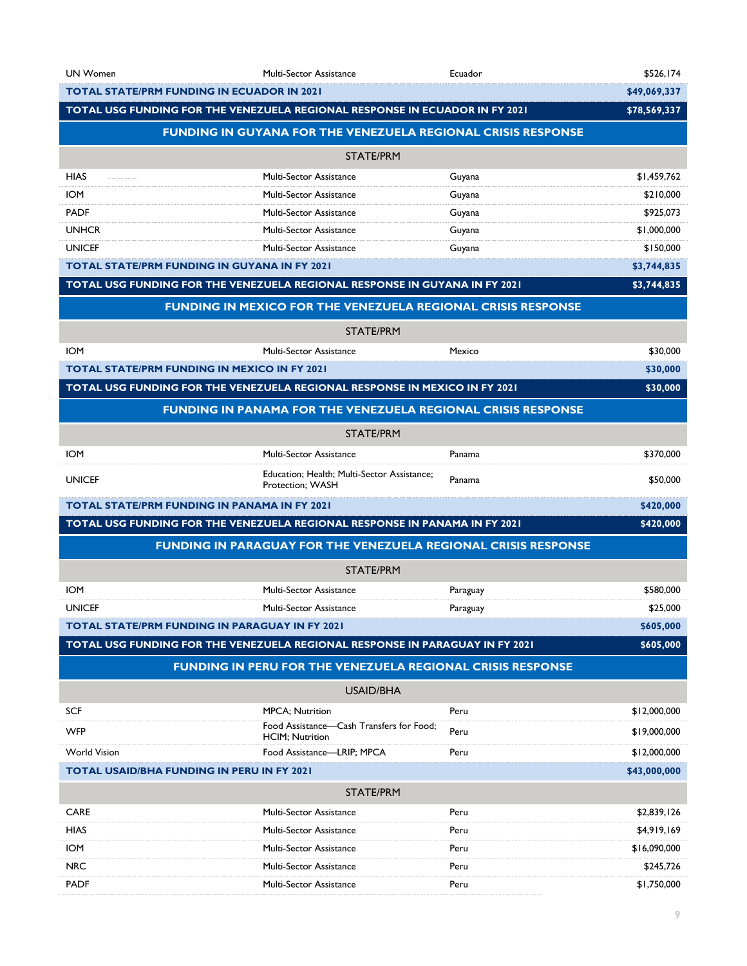| <b>UN Women</b>     | <b>Multi-Sector Assistance</b>                                               | Ecuador  | \$526,174    |
|---------------------|------------------------------------------------------------------------------|----------|--------------|
|                     | <b>TOTAL STATE/PRM FUNDING IN ECUADOR IN 2021</b>                            |          | \$49,069,337 |
|                     | TOTAL USG FUNDING FOR THE VENEZUELA REGIONAL RESPONSE IN ECUADOR IN FY 2021  |          | \$78,569,337 |
|                     | <b>FUNDING IN GUYANA FOR THE VENEZUELA REGIONAL CRISIS RESPONSE</b>          |          |              |
|                     | <b>STATE/PRM</b>                                                             |          |              |
| <b>HIAS</b>         | <b>Multi-Sector Assistance</b>                                               | Guyana   | \$1,459,762  |
| <b>IOM</b>          | <b>Multi-Sector Assistance</b>                                               | Guyana   | \$210,000    |
| <b>PADF</b>         | <b>Multi-Sector Assistance</b>                                               | Guyana   | \$925,073    |
| <b>UNHCR</b>        | Multi-Sector Assistance                                                      | Guyana   | \$1,000,000  |
| <b>UNICEF</b>       | <b>Multi-Sector Assistance</b>                                               | Guyana   | \$150,000    |
|                     | <b>TOTAL STATE/PRM FUNDING IN GUYANA IN FY 2021</b>                          |          | \$3,744,835  |
|                     | TOTAL USG FUNDING FOR THE VENEZUELA REGIONAL RESPONSE IN GUYANA IN FY 2021   |          | \$3,744,835  |
|                     | <b>FUNDING IN MEXICO FOR THE VENEZUELA REGIONAL CRISIS RESPONSE</b>          |          |              |
|                     | STATE/PRM                                                                    |          |              |
| <b>IOM</b>          | <b>Multi-Sector Assistance</b>                                               | Mexico   | \$30,000     |
|                     | <b>TOTAL STATE/PRM FUNDING IN MEXICO IN FY 2021</b>                          |          | \$30,000     |
|                     | TOTAL USG FUNDING FOR THE VENEZUELA REGIONAL RESPONSE IN MEXICO IN FY 2021   |          | \$30,000     |
|                     | <b>FUNDING IN PANAMA FOR THE VENEZUELA REGIONAL CRISIS RESPONSE</b>          |          |              |
|                     | STATE/PRM                                                                    |          |              |
| <b>IOM</b>          | <b>Multi-Sector Assistance</b>                                               | Panama   | \$370,000    |
| <b>UNICEF</b>       | Education; Health; Multi-Sector Assistance;<br>Protection; WASH              | Panama   | \$50,000     |
|                     | <b>TOTAL STATE/PRM FUNDING IN PANAMA IN FY 2021</b>                          |          | \$420,000    |
|                     | TOTAL USG FUNDING FOR THE VENEZUELA REGIONAL RESPONSE IN PANAMA IN FY 2021   |          | \$420,000    |
|                     | <b>FUNDING IN PARAGUAY FOR THE VENEZUELA REGIONAL CRISIS RESPONSE</b>        |          |              |
|                     | STATE/PRM                                                                    |          |              |
| <b>IOM</b>          | <b>Multi-Sector Assistance</b>                                               | Paraguay | \$580,000    |
| <b>UNICFF</b>       | <b>Multi-Sector Assistance</b>                                               | Paraguay | \$25,000     |
|                     | <b>TOTAL STATE/PRM FUNDING IN PARAGUAY IN FY 2021</b>                        |          | \$605,000    |
|                     | TOTAL USG FUNDING FOR THE VENEZUELA REGIONAL RESPONSE IN PARAGUAY IN FY 2021 |          | \$605,000    |
|                     | <b>FUNDING IN PERU FOR THE VENEZUELA REGIONAL CRISIS RESPONSE</b>            |          |              |
|                     | <b>USAID/BHA</b>                                                             |          |              |
| <b>SCF</b>          | <b>MPCA</b> ; Nutrition                                                      | Peru     | \$12,000,000 |
| <b>WFP</b>          | Food Assistance-Cash Transfers for Food;<br><b>HCIM</b> ; Nutrition          | Peru     | \$19,000,000 |
| <b>World Vision</b> | Food Assistance-LRIP; MPCA                                                   | Peru     | \$12,000,000 |
|                     | <b>TOTAL USAID/BHA FUNDING IN PERU IN FY 2021</b>                            |          | \$43,000,000 |
|                     | <b>STATE/PRM</b>                                                             |          |              |
| <b>CARE</b>         | <b>Multi-Sector Assistance</b>                                               | Peru     | \$2,839,126  |
| <b>HIAS</b>         | <b>Multi-Sector Assistance</b>                                               | Peru     | \$4,919,169  |
| <b>IOM</b>          | Multi-Sector Assistance                                                      | Peru     | \$16,090,000 |
| <b>NRC</b>          | <b>Multi-Sector Assistance</b>                                               | Peru     | \$245,726    |
| <b>PADF</b>         | Multi-Sector Assistance                                                      | Peru     | \$1,750,000  |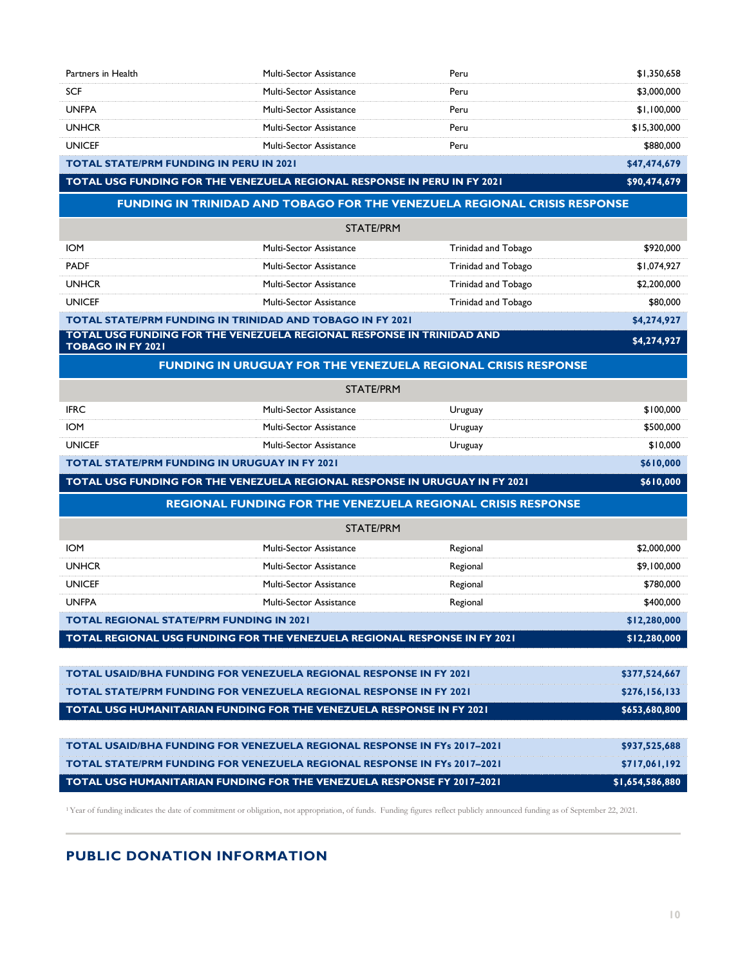| Partners in Health                                                                                                                                                                     | <b>Multi-Sector Assistance</b>                                                   | Peru                | \$1,350,658     |
|----------------------------------------------------------------------------------------------------------------------------------------------------------------------------------------|----------------------------------------------------------------------------------|---------------------|-----------------|
| <b>SCF</b>                                                                                                                                                                             | <b>Multi-Sector Assistance</b>                                                   | Peru                | \$3,000,000     |
| <b>UNFPA</b>                                                                                                                                                                           | Multi-Sector Assistance                                                          | Peru                | \$1,100,000     |
| <b>UNHCR</b>                                                                                                                                                                           | Multi-Sector Assistance                                                          | Peru                | \$15,300,000    |
| <b>UNICEF</b>                                                                                                                                                                          | Multi-Sector Assistance                                                          | Peru                | \$880,000       |
| <b>TOTAL STATE/PRM FUNDING IN PERU IN 2021</b>                                                                                                                                         |                                                                                  |                     | \$47,474,679    |
| TOTAL USG FUNDING FOR THE VENEZUELA REGIONAL RESPONSE IN PERU IN FY 2021                                                                                                               |                                                                                  |                     | \$90,474,679    |
|                                                                                                                                                                                        | <b>FUNDING IN TRINIDAD AND TOBAGO FOR THE VENEZUELA REGIONAL CRISIS RESPONSE</b> |                     |                 |
|                                                                                                                                                                                        | <b>STATE/PRM</b>                                                                 |                     |                 |
| <b>IOM</b>                                                                                                                                                                             | <b>Multi-Sector Assistance</b>                                                   | Trinidad and Tobago | \$920,000       |
| <b>PADF</b>                                                                                                                                                                            | <b>Multi-Sector Assistance</b>                                                   | Trinidad and Tobago | \$1,074,927     |
| <b>UNHCR</b>                                                                                                                                                                           | Multi-Sector Assistance                                                          | Trinidad and Tobago | \$2,200,000     |
| <b>UNICEF</b>                                                                                                                                                                          | Multi-Sector Assistance                                                          | Trinidad and Tobago | \$80,000        |
| TOTAL STATE/PRM FUNDING IN TRINIDAD AND TOBAGO IN FY 2021                                                                                                                              |                                                                                  |                     | \$4,274,927     |
| TOTAL USG FUNDING FOR THE VENEZUELA REGIONAL RESPONSE IN TRINIDAD AND<br><b>TOBAGO IN FY 2021</b>                                                                                      |                                                                                  |                     | \$4,274,927     |
|                                                                                                                                                                                        | <b>FUNDING IN URUGUAY FOR THE VENEZUELA REGIONAL CRISIS RESPONSE</b>             |                     |                 |
|                                                                                                                                                                                        | <b>STATE/PRM</b>                                                                 |                     |                 |
| <b>IFRC</b>                                                                                                                                                                            | <b>Multi-Sector Assistance</b>                                                   | Uruguay             | \$100,000       |
| <b>IOM</b>                                                                                                                                                                             | <b>Multi-Sector Assistance</b>                                                   | Uruguay             | \$500,000       |
| <b>UNICEF</b>                                                                                                                                                                          | Multi-Sector Assistance                                                          | Uruguay             | \$10,000        |
| <b>TOTAL STATE/PRM FUNDING IN URUGUAY IN FY 2021</b>                                                                                                                                   |                                                                                  |                     | \$610,000       |
| TOTAL USG FUNDING FOR THE VENEZUELA REGIONAL RESPONSE IN URUGUAY IN FY 2021                                                                                                            |                                                                                  |                     | \$610,000       |
|                                                                                                                                                                                        | <b>REGIONAL FUNDING FOR THE VENEZUELA REGIONAL CRISIS RESPONSE</b>               |                     |                 |
|                                                                                                                                                                                        |                                                                                  |                     |                 |
|                                                                                                                                                                                        | STATE/PRM                                                                        |                     |                 |
| <b>IOM</b>                                                                                                                                                                             | <b>Multi-Sector Assistance</b>                                                   | Regional            | \$2,000,000     |
| <b>UNHCR</b>                                                                                                                                                                           | <b>Multi-Sector Assistance</b>                                                   | Regional            | \$9,100,000     |
| <b>UNICEF</b>                                                                                                                                                                          | Multi-Sector Assistance                                                          | Regional            | \$780,000       |
| <b>UNFPA</b>                                                                                                                                                                           | Multi-Sector Assistance                                                          | Regional            | \$400,000       |
| <b>TOTAL REGIONAL STATE/PRM FUNDING IN 2021</b>                                                                                                                                        |                                                                                  |                     | \$12,280,000    |
| TOTAL REGIONAL USG FUNDING FOR THE VENEZUELA REGIONAL RESPONSE IN FY 2021                                                                                                              |                                                                                  |                     | \$12,280,000    |
| <b>TOTAL USAID/BHA FUNDING FOR VENEZUELA REGIONAL RESPONSE IN FY 2021</b>                                                                                                              |                                                                                  |                     | \$377,524,667   |
| <b>TOTAL STATE/PRM FUNDING FOR VENEZUELA REGIONAL RESPONSE IN FY 2021</b>                                                                                                              |                                                                                  |                     | \$276,156,133   |
|                                                                                                                                                                                        |                                                                                  |                     | \$653,680,800   |
| TOTAL USG HUMANITARIAN FUNDING FOR THE VENEZUELA RESPONSE IN FY 2021                                                                                                                   |                                                                                  |                     |                 |
| <b>TOTAL USAID/BHA FUNDING FOR VENEZUELA REGIONAL RESPONSE IN FYs 2017-2021</b>                                                                                                        |                                                                                  |                     | \$937,525,688   |
| <b>TOTAL STATE/PRM FUNDING FOR VENEZUELA REGIONAL RESPONSE IN FYs 2017-2021</b>                                                                                                        |                                                                                  |                     | \$717,061,192   |
| TOTAL USG HUMANITARIAN FUNDING FOR THE VENEZUELA RESPONSE FY 2017-2021                                                                                                                 |                                                                                  |                     | \$1,654,586,880 |
|                                                                                                                                                                                        |                                                                                  |                     |                 |
| <sup>1</sup> Year of funding indicates the date of commitment or obligation, not appropriation, of funds. Funding figures reflect publicly announced funding as of September 22, 2021. |                                                                                  |                     |                 |

**PUBLIC DONATION INFORMATION**